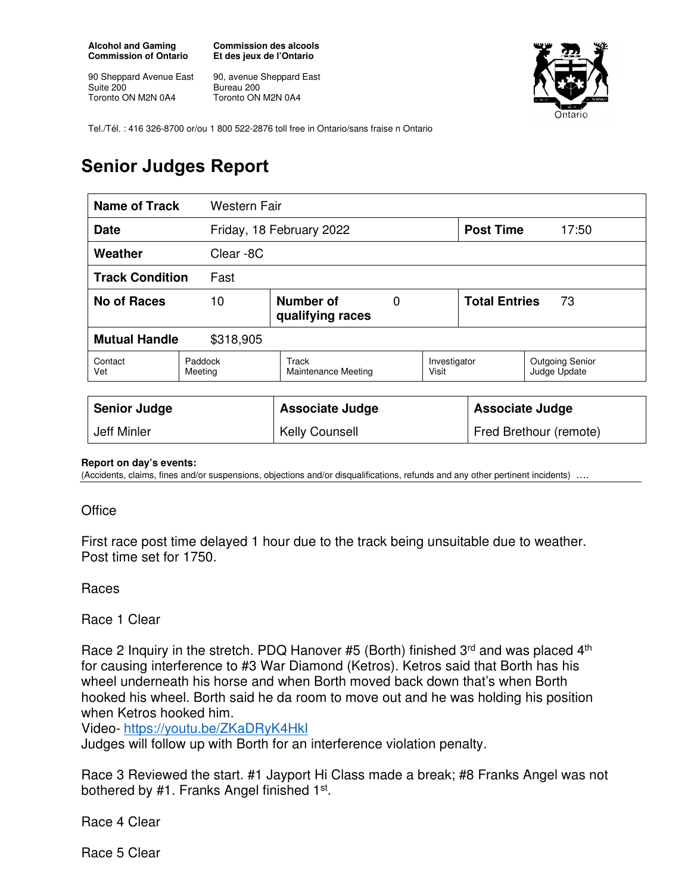**Alcohol and Gaming Commission of Ontario** 

90 Sheppard Avenue East Suite 200 Toronto ON M2N 0A4

**Commission des alcools Et des jeux de l'Ontario** 

90, avenue Sheppard East Bureau 200 Toronto ON M2N 0A4



Tel./Tél. : 416 326-8700 or/ou 1 800 522-2876 toll free in Ontario/sans fraise n Ontario

## **Senior Judges Report**

| <b>Name of Track</b>              | Western Fair                             |                                     |  |                            |                        |                                        |
|-----------------------------------|------------------------------------------|-------------------------------------|--|----------------------------|------------------------|----------------------------------------|
| <b>Date</b>                       |                                          | Friday, 18 February 2022            |  |                            | <b>Post Time</b>       | 17:50                                  |
| Weather                           | Clear -8C                                |                                     |  |                            |                        |                                        |
| <b>Track Condition</b><br>Fast    |                                          |                                     |  |                            |                        |                                        |
| No of Races                       | Number of<br>10<br>0<br>qualifying races |                                     |  | <b>Total Entries</b><br>73 |                        |                                        |
| <b>Mutual Handle</b><br>\$318,905 |                                          |                                     |  |                            |                        |                                        |
| Contact<br>Vet                    | Paddock<br>Meeting                       | Track<br><b>Maintenance Meeting</b> |  | Investigator<br>Visit      |                        | <b>Outgoing Senior</b><br>Judge Update |
| <b>Senior Judge</b>               |                                          | <b>Associate Judge</b>              |  |                            | <b>Associate Judge</b> |                                        |
| Jeff Minler                       |                                          | <b>Kelly Counsell</b>               |  |                            | Fred Brethour (remote) |                                        |

## **Report on day's events:**

(Accidents, claims, fines and/or suspensions, objections and/or disqualifications, refunds and any other pertinent incidents)

## **Office**

First race post time delayed 1 hour due to the track being unsuitable due to weather. Post time set for 1750.

Races

Race 1 Clear

Race 2 Inquiry in the stretch. PDQ Hanover #5 (Borth) finished  $3<sup>rd</sup>$  and was placed  $4<sup>th</sup>$ for causing interference to #3 War Diamond (Ketros). Ketros said that Borth has his wheel underneath his horse and when Borth moved back down that's when Borth hooked his wheel. Borth said he da room to move out and he was holding his position when Ketros hooked him.

Video- https://youtu.be/ZKaDRyK4HkI

Judges will follow up with Borth for an interference violation penalty.

Race 3 Reviewed the start. #1 Jayport Hi Class made a break; #8 Franks Angel was not bothered by #1. Franks Angel finished 1<sup>st</sup>.

Race 4 Clear

Race 5 Clear